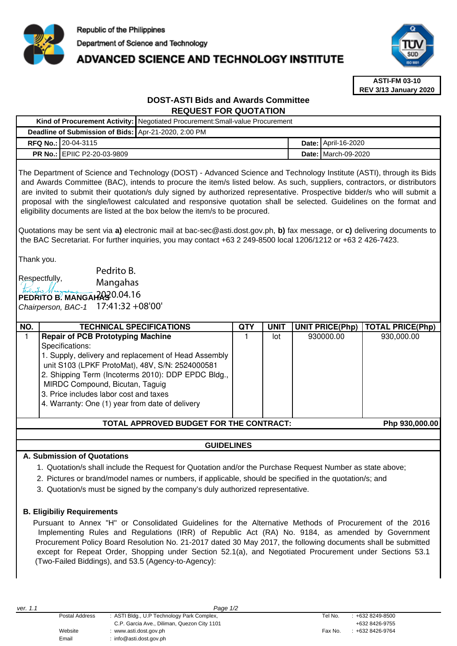

# **ADVANCED SCIENCE AND TECHNOLOGY INSTITUTE**



**ASTI-FM 03-10 REV 3/13 January 2020**

## **DOST-ASTI Bids and Awards Committee REQUEST FOR QUOTATION**

| Kind of Procurement Activity: Negotiated Procurement: Small-value Procurement                                                                                                                                                                                                                                                                                                                                                                                                                                                                                                       |                                                                                                            |             |             |       |                        |                         |  |
|-------------------------------------------------------------------------------------------------------------------------------------------------------------------------------------------------------------------------------------------------------------------------------------------------------------------------------------------------------------------------------------------------------------------------------------------------------------------------------------------------------------------------------------------------------------------------------------|------------------------------------------------------------------------------------------------------------|-------------|-------------|-------|------------------------|-------------------------|--|
| Deadline of Submission of Bids: Apr-21-2020, 2:00 PM                                                                                                                                                                                                                                                                                                                                                                                                                                                                                                                                |                                                                                                            |             |             |       |                        |                         |  |
| RFQ No.: 20-04-3115                                                                                                                                                                                                                                                                                                                                                                                                                                                                                                                                                                 |                                                                                                            |             |             | Date: | April-16-2020          |                         |  |
| <b>PR No.: EPIIC P2-20-03-9809</b>                                                                                                                                                                                                                                                                                                                                                                                                                                                                                                                                                  |                                                                                                            |             |             |       | Date: March-09-2020    |                         |  |
| The Department of Science and Technology (DOST) - Advanced Science and Technology Institute (ASTI), through its Bids<br>and Awards Committee (BAC), intends to procure the item/s listed below. As such, suppliers, contractors, or distributors<br>are invited to submit their quotation/s duly signed by authorized representative. Prospective bidder/s who will submit a<br>proposal with the single/lowest calculated and responsive quotation shall be selected. Guidelines on the format and<br>eligibility documents are listed at the box below the item/s to be procured. |                                                                                                            |             |             |       |                        |                         |  |
| Quotations may be sent via a) electronic mail at bac-sec@asti.dost.gov.ph, b) fax message, or c) delivering documents to<br>the BAC Secretariat. For further inquiries, you may contact +63 2 249-8500 local 1206/1212 or +63 2 426-7423.                                                                                                                                                                                                                                                                                                                                           |                                                                                                            |             |             |       |                        |                         |  |
|                                                                                                                                                                                                                                                                                                                                                                                                                                                                                                                                                                                     |                                                                                                            |             |             |       |                        |                         |  |
| Thank you.<br>Pedrito B.<br>Respectfully,<br>Mangahas<br>tedroits<br>PEDRITO B. MANGAHAS 0.04.16<br>Chairperson, BAC-1 17:41:32 +08'00'                                                                                                                                                                                                                                                                                                                                                                                                                                             |                                                                                                            |             |             |       |                        |                         |  |
| NO.                                                                                                                                                                                                                                                                                                                                                                                                                                                                                                                                                                                 | <b>TECHNICAL SPECIFICATIONS</b>                                                                            | QTY         | <b>UNIT</b> |       | <b>UNIT PRICE(Php)</b> | <b>TOTAL PRICE(Php)</b> |  |
| <b>Repair of PCB Prototyping Machine</b><br>$\overline{1}$<br>Specifications:<br>unit S103 (LPKF ProtoMat), 48V, S/N: 2524000581<br>MIRDC Compound, Bicutan, Taguig<br>3. Price includes labor cost and taxes<br>4. Warranty: One (1) year from date of delivery                                                                                                                                                                                                                                                                                                                    | 1. Supply, delivery and replacement of Head Assembly<br>2. Shipping Term (Incoterms 2010): DDP EPDC Bldg., | $\mathbf 1$ | lot         |       | 930000.00              | 930,000.00              |  |
| TOTAL APPROVED BUDGET FOR THE CONTRACT:<br>Php 930,000.00                                                                                                                                                                                                                                                                                                                                                                                                                                                                                                                           |                                                                                                            |             |             |       |                        |                         |  |
|                                                                                                                                                                                                                                                                                                                                                                                                                                                                                                                                                                                     |                                                                                                            |             |             |       |                        |                         |  |
| <b>GUIDELINES</b>                                                                                                                                                                                                                                                                                                                                                                                                                                                                                                                                                                   |                                                                                                            |             |             |       |                        |                         |  |
| A. Submission of Quotations                                                                                                                                                                                                                                                                                                                                                                                                                                                                                                                                                         |                                                                                                            |             |             |       |                        |                         |  |

## 1. Quotation/s shall include the Request for Quotation and/or the Purchase Request Number as state above;

- 2. Pictures or brand/model names or numbers, if applicable, should be specified in the quotation/s; and
- 3. Quotation/s must be signed by the company's duly authorized representative.

## **B. Eligibiliy Requirements**

Pursuant to Annex "H" or Consolidated Guidelines for the Alternative Methods of Procurement of the 2016 Implementing Rules and Regulations (IRR) of Republic Act (RA) No. 9184, as amended by Government Procurement Policy Board Resolution No. 21-2017 dated 30 May 2017, the following documents shall be submitted except for Repeat Order, Shopping under Section 52.1(a), and Negotiated Procurement under Sections 53.1 (Two-Failed Biddings), and 53.5 (Agency-to-Agency):